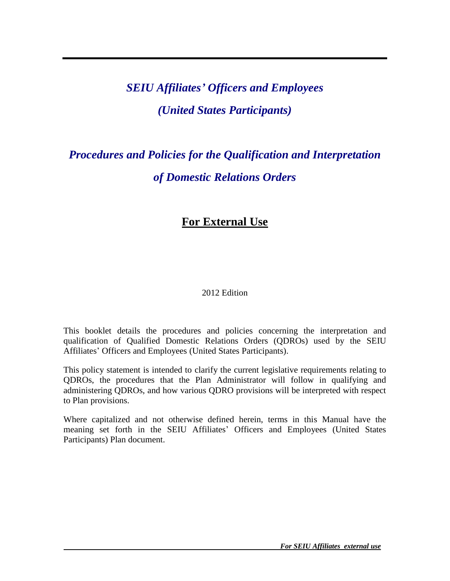# *SEIU Affiliates' Officers and Employees (United States Participants)*

# *Procedures and Policies for the Qualification and Interpretation of Domestic Relations Orders*

# **For External Use**

# 2012 Edition

This booklet details the procedures and policies concerning the interpretation and qualification of Qualified Domestic Relations Orders (QDROs) used by the SEIU Affiliates' Officers and Employees (United States Participants).

This policy statement is intended to clarify the current legislative requirements relating to QDROs, the procedures that the Plan Administrator will follow in qualifying and administering QDROs, and how various QDRO provisions will be interpreted with respect to Plan provisions.

Where capitalized and not otherwise defined herein, terms in this Manual have the meaning set forth in the SEIU Affiliates' Officers and Employees (United States Participants) Plan document.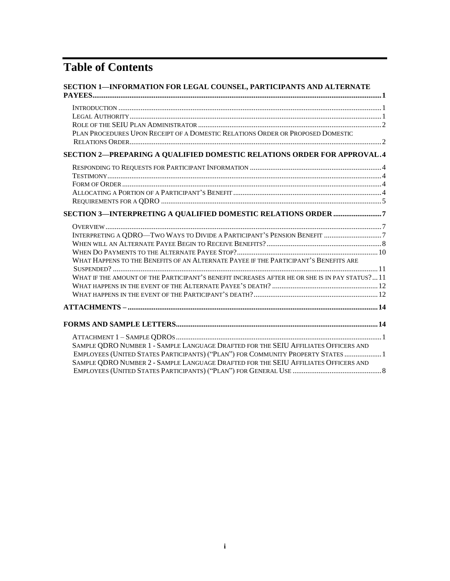# **Table of Contents**

| SECTION 1-INFORMATION FOR LEGAL COUNSEL, PARTICIPANTS AND ALTERNATE                                                                                                                                                                                           |
|---------------------------------------------------------------------------------------------------------------------------------------------------------------------------------------------------------------------------------------------------------------|
| PLAN PROCEDURES UPON RECEIPT OF A DOMESTIC RELATIONS ORDER OR PROPOSED DOMESTIC                                                                                                                                                                               |
|                                                                                                                                                                                                                                                               |
| SECTION 2-PREPARING A QUALIFIED DOMESTIC RELATIONS ORDER FOR APPROVAL.4                                                                                                                                                                                       |
|                                                                                                                                                                                                                                                               |
| SECTION 3-INTERPRETING A QUALIFIED DOMESTIC RELATIONS ORDER 7                                                                                                                                                                                                 |
| WHAT HAPPENS TO THE BENEFITS OF AN ALTERNATE PAYEE IF THE PARTICIPANT'S BENEFITS ARE<br>WHAT IF THE AMOUNT OF THE PARTICIPANT'S BENEFIT INCREASES AFTER HE OR SHE IS IN PAY STATUS? 11                                                                        |
|                                                                                                                                                                                                                                                               |
|                                                                                                                                                                                                                                                               |
| SAMPLE QDRO NUMBER 1 - SAMPLE LANGUAGE DRAFTED FOR THE SEIU AFFILIATES OFFICERS AND<br>EMPLOYEES (UNITED STATES PARTICIPANTS) ("PLAN") FOR COMMUNITY PROPERTY STATES 1<br>SAMPLE QDRO NUMBER 2 - SAMPLE LANGUAGE DRAFTED FOR THE SEIU AFFILIATES OFFICERS AND |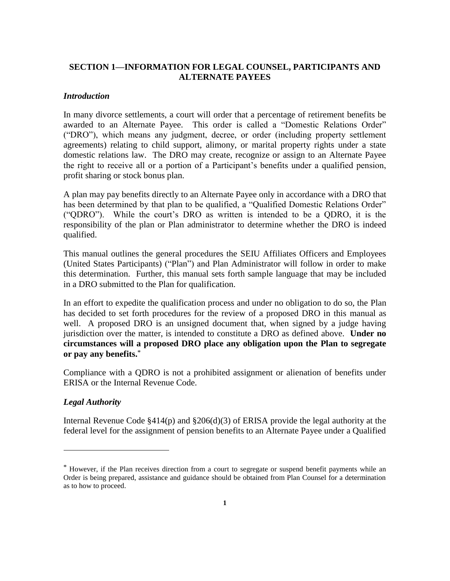# **SECTION 1—INFORMATION FOR LEGAL COUNSEL, PARTICIPANTS AND ALTERNATE PAYEES**

#### *Introduction*

In many divorce settlements, a court will order that a percentage of retirement benefits be awarded to an Alternate Payee. This order is called a "Domestic Relations Order" ("DRO"), which means any judgment, decree, or order (including property settlement agreements) relating to child support, alimony, or marital property rights under a state domestic relations law. The DRO may create, recognize or assign to an Alternate Payee the right to receive all or a portion of a Participant's benefits under a qualified pension, profit sharing or stock bonus plan.

A plan may pay benefits directly to an Alternate Payee only in accordance with a DRO that has been determined by that plan to be qualified, a "Qualified Domestic Relations Order" ("QDRO"). While the court's DRO as written is intended to be a QDRO, it is the responsibility of the plan or Plan administrator to determine whether the DRO is indeed qualified.

This manual outlines the general procedures the SEIU Affiliates Officers and Employees (United States Participants) ("Plan") and Plan Administrator will follow in order to make this determination. Further, this manual sets forth sample language that may be included in a DRO submitted to the Plan for qualification.

In an effort to expedite the qualification process and under no obligation to do so, the Plan has decided to set forth procedures for the review of a proposed DRO in this manual as well. A proposed DRO is an unsigned document that, when signed by a judge having jurisdiction over the matter, is intended to constitute a DRO as defined above. **Under no circumstances will a proposed DRO place any obligation upon the Plan to segregate or pay any benefits.**\*

Compliance with a QDRO is not a prohibited assignment or alienation of benefits under ERISA or the Internal Revenue Code.

#### *Legal Authority*

 $\overline{a}$ 

Internal Revenue Code  $\S414(p)$  and  $\S206(d)(3)$  of ERISA provide the legal authority at the federal level for the assignment of pension benefits to an Alternate Payee under a Qualified

<sup>\*</sup> However, if the Plan receives direction from a court to segregate or suspend benefit payments while an Order is being prepared, assistance and guidance should be obtained from Plan Counsel for a determination as to how to proceed.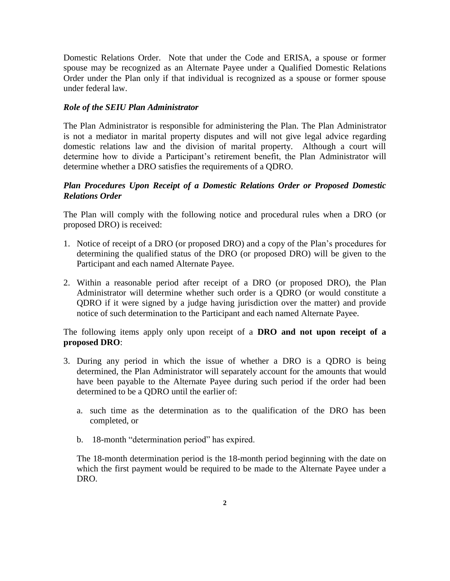Domestic Relations Order. Note that under the Code and ERISA, a spouse or former spouse may be recognized as an Alternate Payee under a Qualified Domestic Relations Order under the Plan only if that individual is recognized as a spouse or former spouse under federal law.

## *Role of the SEIU Plan Administrator*

The Plan Administrator is responsible for administering the Plan. The Plan Administrator is not a mediator in marital property disputes and will not give legal advice regarding domestic relations law and the division of marital property. Although a court will determine how to divide a Participant's retirement benefit, the Plan Administrator will determine whether a DRO satisfies the requirements of a QDRO.

# *Plan Procedures Upon Receipt of a Domestic Relations Order or Proposed Domestic Relations Order*

The Plan will comply with the following notice and procedural rules when a DRO (or proposed DRO) is received:

- 1. Notice of receipt of a DRO (or proposed DRO) and a copy of the Plan's procedures for determining the qualified status of the DRO (or proposed DRO) will be given to the Participant and each named Alternate Payee.
- 2. Within a reasonable period after receipt of a DRO (or proposed DRO), the Plan Administrator will determine whether such order is a QDRO (or would constitute a QDRO if it were signed by a judge having jurisdiction over the matter) and provide notice of such determination to the Participant and each named Alternate Payee.

The following items apply only upon receipt of a **DRO and not upon receipt of a proposed DRO**:

- 3. During any period in which the issue of whether a DRO is a QDRO is being determined, the Plan Administrator will separately account for the amounts that would have been payable to the Alternate Payee during such period if the order had been determined to be a QDRO until the earlier of:
	- a. such time as the determination as to the qualification of the DRO has been completed, or
	- b. 18-month "determination period" has expired.

The 18-month determination period is the 18-month period beginning with the date on which the first payment would be required to be made to the Alternate Payee under a DRO.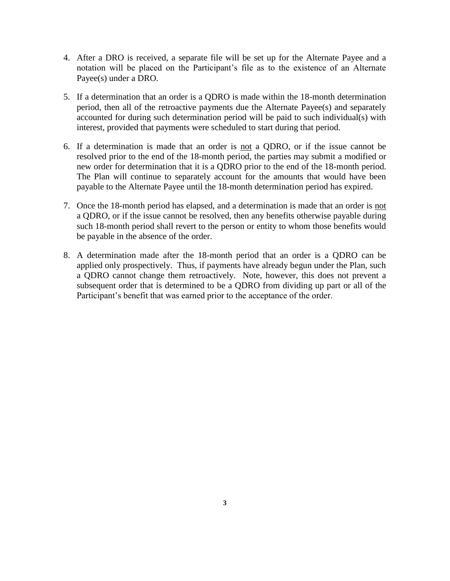- 4. After a DRO is received, a separate file will be set up for the Alternate Payee and a notation will be placed on the Participant's file as to the existence of an Alternate Payee(s) under a DRO.
- 5. If a determination that an order is a QDRO is made within the 18-month determination period, then all of the retroactive payments due the Alternate Payee(s) and separately accounted for during such determination period will be paid to such individual(s) with interest, provided that payments were scheduled to start during that period.
- 6. If a determination is made that an order is not a QDRO, or if the issue cannot be resolved prior to the end of the 18-month period, the parties may submit a modified or new order for determination that it is a QDRO prior to the end of the 18-month period. The Plan will continue to separately account for the amounts that would have been payable to the Alternate Payee until the 18-month determination period has expired.
- 7. Once the 18-month period has elapsed, and a determination is made that an order is not a QDRO, or if the issue cannot be resolved, then any benefits otherwise payable during such 18-month period shall revert to the person or entity to whom those benefits would be payable in the absence of the order.
- 8. A determination made after the 18-month period that an order is a QDRO can be applied only prospectively. Thus, if payments have already begun under the Plan, such a QDRO cannot change them retroactively. Note, however, this does not prevent a subsequent order that is determined to be a QDRO from dividing up part or all of the Participant's benefit that was earned prior to the acceptance of the order.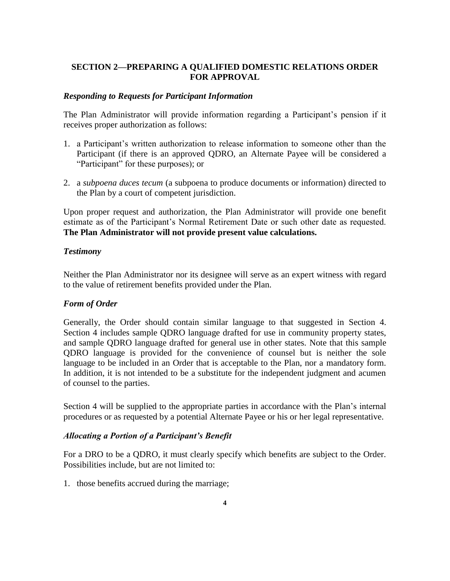# **SECTION 2—PREPARING A QUALIFIED DOMESTIC RELATIONS ORDER FOR APPROVAL**

### *Responding to Requests for Participant Information*

The Plan Administrator will provide information regarding a Participant's pension if it receives proper authorization as follows:

- 1. a Participant's written authorization to release information to someone other than the Participant (if there is an approved QDRO, an Alternate Payee will be considered a "Participant" for these purposes); or
- 2. a *subpoena duces tecum* (a subpoena to produce documents or information) directed to the Plan by a court of competent jurisdiction.

Upon proper request and authorization, the Plan Administrator will provide one benefit estimate as of the Participant's Normal Retirement Date or such other date as requested. **The Plan Administrator will not provide present value calculations.**

### *Testimony*

Neither the Plan Administrator nor its designee will serve as an expert witness with regard to the value of retirement benefits provided under the Plan.

# *Form of Order*

Generally, the Order should contain similar language to that suggested in Section 4. Section 4 includes sample QDRO language drafted for use in community property states, and sample QDRO language drafted for general use in other states. Note that this sample QDRO language is provided for the convenience of counsel but is neither the sole language to be included in an Order that is acceptable to the Plan, nor a mandatory form. In addition, it is not intended to be a substitute for the independent judgment and acumen of counsel to the parties.

Section 4 will be supplied to the appropriate parties in accordance with the Plan's internal procedures or as requested by a potential Alternate Payee or his or her legal representative.

#### *Allocating a Portion of a Participant's Benefit*

For a DRO to be a QDRO, it must clearly specify which benefits are subject to the Order. Possibilities include, but are not limited to:

1. those benefits accrued during the marriage;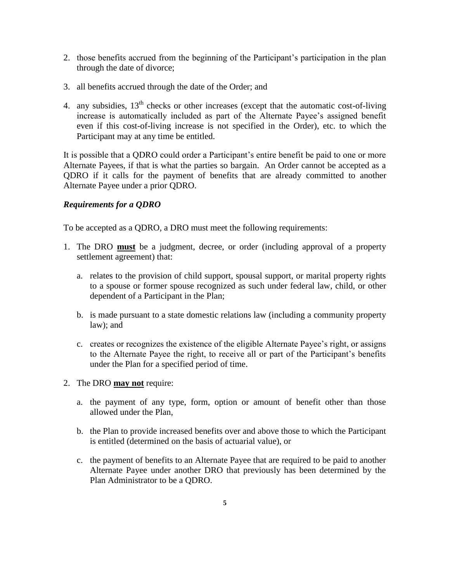- 2. those benefits accrued from the beginning of the Participant's participation in the plan through the date of divorce;
- 3. all benefits accrued through the date of the Order; and
- 4. any subsidies,  $13<sup>th</sup>$  checks or other increases (except that the automatic cost-of-living increase is automatically included as part of the Alternate Payee's assigned benefit even if this cost-of-living increase is not specified in the Order), etc. to which the Participant may at any time be entitled.

It is possible that a QDRO could order a Participant's entire benefit be paid to one or more Alternate Payees, if that is what the parties so bargain. An Order cannot be accepted as a QDRO if it calls for the payment of benefits that are already committed to another Alternate Payee under a prior QDRO.

# *Requirements for a QDRO*

To be accepted as a QDRO, a DRO must meet the following requirements:

- 1. The DRO **must** be a judgment, decree, or order (including approval of a property settlement agreement) that:
	- a. relates to the provision of child support, spousal support, or marital property rights to a spouse or former spouse recognized as such under federal law, child, or other dependent of a Participant in the Plan;
	- b. is made pursuant to a state domestic relations law (including a community property law); and
	- c. creates or recognizes the existence of the eligible Alternate Payee's right, or assigns to the Alternate Payee the right, to receive all or part of the Participant's benefits under the Plan for a specified period of time.
- 2. The DRO **may not** require:
	- a. the payment of any type, form, option or amount of benefit other than those allowed under the Plan,
	- b. the Plan to provide increased benefits over and above those to which the Participant is entitled (determined on the basis of actuarial value), or
	- c. the payment of benefits to an Alternate Payee that are required to be paid to another Alternate Payee under another DRO that previously has been determined by the Plan Administrator to be a QDRO.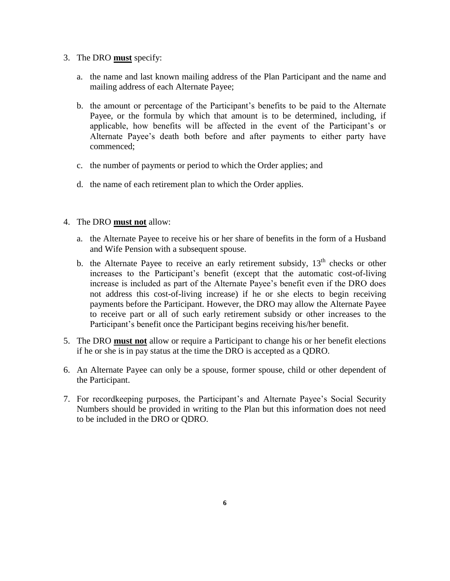- 3. The DRO **must** specify:
	- a. the name and last known mailing address of the Plan Participant and the name and mailing address of each Alternate Payee;
	- b. the amount or percentage of the Participant's benefits to be paid to the Alternate Payee, or the formula by which that amount is to be determined, including, if applicable, how benefits will be affected in the event of the Participant's or Alternate Payee's death both before and after payments to either party have commenced;
	- c. the number of payments or period to which the Order applies; and
	- d. the name of each retirement plan to which the Order applies.
- 4. The DRO **must not** allow:
	- a. the Alternate Payee to receive his or her share of benefits in the form of a Husband and Wife Pension with a subsequent spouse.
	- b. the Alternate Payee to receive an early retirement subsidy,  $13<sup>th</sup>$  checks or other increases to the Participant's benefit (except that the automatic cost-of-living increase is included as part of the Alternate Payee's benefit even if the DRO does not address this cost-of-living increase) if he or she elects to begin receiving payments before the Participant. However, the DRO may allow the Alternate Payee to receive part or all of such early retirement subsidy or other increases to the Participant's benefit once the Participant begins receiving his/her benefit.
- 5. The DRO **must not** allow or require a Participant to change his or her benefit elections if he or she is in pay status at the time the DRO is accepted as a QDRO.
- 6. An Alternate Payee can only be a spouse, former spouse, child or other dependent of the Participant.
- 7. For recordkeeping purposes, the Participant's and Alternate Payee's Social Security Numbers should be provided in writing to the Plan but this information does not need to be included in the DRO or QDRO.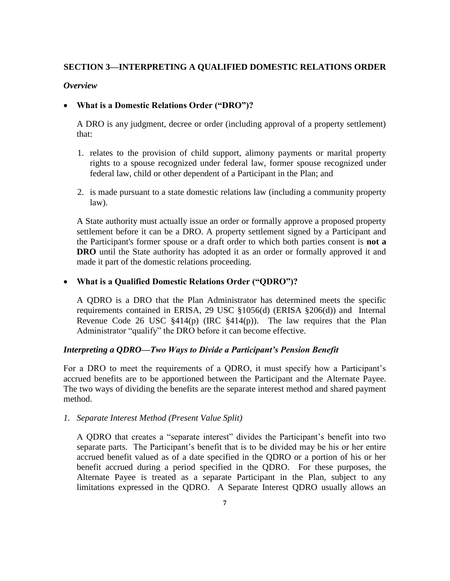# **SECTION 3—INTERPRETING A QUALIFIED DOMESTIC RELATIONS ORDER**

## *Overview*

# **What is a Domestic Relations Order ("DRO")?**

A DRO is any judgment, decree or order (including approval of a property settlement) that:

- 1. relates to the provision of child support, alimony payments or marital property rights to a spouse recognized under federal law, former spouse recognized under federal law, child or other dependent of a Participant in the Plan; and
- 2. is made pursuant to a state domestic relations law (including a community property law).

A State authority must actually issue an order or formally approve a proposed property settlement before it can be a DRO. A property settlement signed by a Participant and the Participant's former spouse or a draft order to which both parties consent is **not a DRO** until the State authority has adopted it as an order or formally approved it and made it part of the domestic relations proceeding.

# **What is a Qualified Domestic Relations Order ("QDRO")?**

A QDRO is a DRO that the Plan Administrator has determined meets the specific requirements contained in ERISA, 29 USC §1056(d) (ERISA §206(d)) and Internal Revenue Code 26 USC  $\S 414(p)$  (IRC  $\S 414(p)$ ). The law requires that the Plan Administrator "qualify" the DRO before it can become effective.

# *Interpreting a QDRO—Two Ways to Divide a Participant's Pension Benefit*

For a DRO to meet the requirements of a QDRO, it must specify how a Participant's accrued benefits are to be apportioned between the Participant and the Alternate Payee. The two ways of dividing the benefits are the separate interest method and shared payment method.

# *1. Separate Interest Method (Present Value Split)*

A QDRO that creates a "separate interest" divides the Participant's benefit into two separate parts. The Participant's benefit that is to be divided may be his or her entire accrued benefit valued as of a date specified in the QDRO or a portion of his or her benefit accrued during a period specified in the QDRO. For these purposes, the Alternate Payee is treated as a separate Participant in the Plan, subject to any limitations expressed in the QDRO. A Separate Interest QDRO usually allows an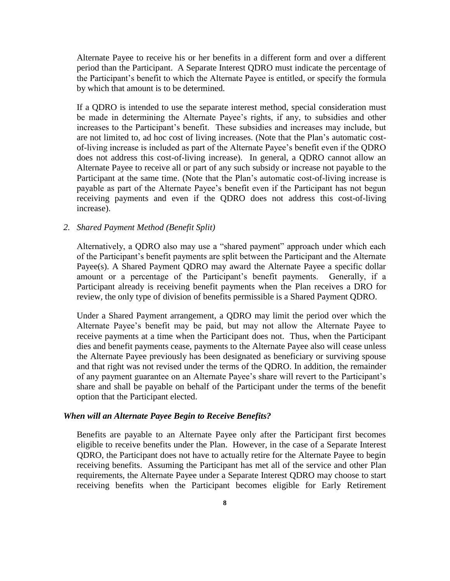Alternate Payee to receive his or her benefits in a different form and over a different period than the Participant. A Separate Interest QDRO must indicate the percentage of the Participant's benefit to which the Alternate Payee is entitled, or specify the formula by which that amount is to be determined.

If a QDRO is intended to use the separate interest method, special consideration must be made in determining the Alternate Payee's rights, if any, to subsidies and other increases to the Participant's benefit. These subsidies and increases may include, but are not limited to, ad hoc cost of living increases. (Note that the Plan's automatic costof-living increase is included as part of the Alternate Payee's benefit even if the QDRO does not address this cost-of-living increase). In general, a QDRO cannot allow an Alternate Payee to receive all or part of any such subsidy or increase not payable to the Participant at the same time. (Note that the Plan's automatic cost-of-living increase is payable as part of the Alternate Payee's benefit even if the Participant has not begun receiving payments and even if the QDRO does not address this cost-of-living increase).

#### *2. Shared Payment Method (Benefit Split)*

Alternatively, a QDRO also may use a "shared payment" approach under which each of the Participant's benefit payments are split between the Participant and the Alternate Payee(s). A Shared Payment QDRO may award the Alternate Payee a specific dollar amount or a percentage of the Participant's benefit payments. Generally, if a Participant already is receiving benefit payments when the Plan receives a DRO for review, the only type of division of benefits permissible is a Shared Payment QDRO.

Under a Shared Payment arrangement, a QDRO may limit the period over which the Alternate Payee's benefit may be paid, but may not allow the Alternate Payee to receive payments at a time when the Participant does not. Thus, when the Participant dies and benefit payments cease, payments to the Alternate Payee also will cease unless the Alternate Payee previously has been designated as beneficiary or surviving spouse and that right was not revised under the terms of the QDRO. In addition, the remainder of any payment guarantee on an Alternate Payee's share will revert to the Participant's share and shall be payable on behalf of the Participant under the terms of the benefit option that the Participant elected.

#### *When will an Alternate Payee Begin to Receive Benefits?*

Benefits are payable to an Alternate Payee only after the Participant first becomes eligible to receive benefits under the Plan. However, in the case of a Separate Interest QDRO, the Participant does not have to actually retire for the Alternate Payee to begin receiving benefits. Assuming the Participant has met all of the service and other Plan requirements, the Alternate Payee under a Separate Interest QDRO may choose to start receiving benefits when the Participant becomes eligible for Early Retirement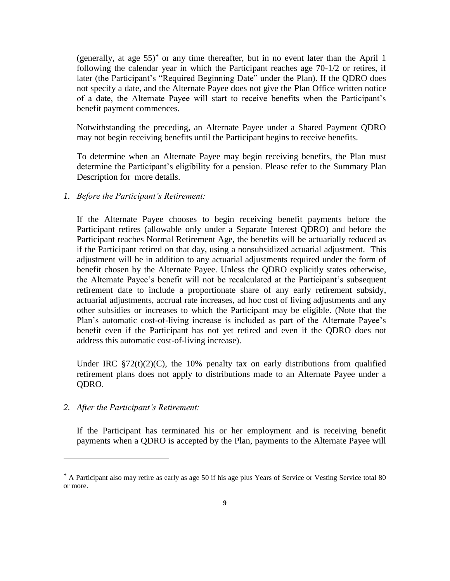(generally, at age  $55$ )<sup>\*</sup> or any time thereafter, but in no event later than the April 1 following the calendar year in which the Participant reaches age 70-1/2 or retires, if later (the Participant's "Required Beginning Date" under the Plan). If the QDRO does not specify a date, and the Alternate Payee does not give the Plan Office written notice of a date, the Alternate Payee will start to receive benefits when the Participant's benefit payment commences.

Notwithstanding the preceding, an Alternate Payee under a Shared Payment QDRO may not begin receiving benefits until the Participant begins to receive benefits.

To determine when an Alternate Payee may begin receiving benefits, the Plan must determine the Participant's eligibility for a pension. Please refer to the Summary Plan Description for more details.

*1. Before the Participant's Retirement:*

If the Alternate Payee chooses to begin receiving benefit payments before the Participant retires (allowable only under a Separate Interest QDRO) and before the Participant reaches Normal Retirement Age, the benefits will be actuarially reduced as if the Participant retired on that day, using a nonsubsidized actuarial adjustment. This adjustment will be in addition to any actuarial adjustments required under the form of benefit chosen by the Alternate Payee. Unless the QDRO explicitly states otherwise, the Alternate Payee's benefit will not be recalculated at the Participant's subsequent retirement date to include a proportionate share of any early retirement subsidy, actuarial adjustments, accrual rate increases, ad hoc cost of living adjustments and any other subsidies or increases to which the Participant may be eligible. (Note that the Plan's automatic cost-of-living increase is included as part of the Alternate Payee's benefit even if the Participant has not yet retired and even if the QDRO does not address this automatic cost-of-living increase).

Under IRC  $\S72(t)(2)(C)$ , the 10% penalty tax on early distributions from qualified retirement plans does not apply to distributions made to an Alternate Payee under a QDRO.

*2. After the Participant's Retirement:* 

 $\overline{a}$ 

If the Participant has terminated his or her employment and is receiving benefit payments when a QDRO is accepted by the Plan, payments to the Alternate Payee will

<sup>\*</sup> A Participant also may retire as early as age 50 if his age plus Years of Service or Vesting Service total 80 or more.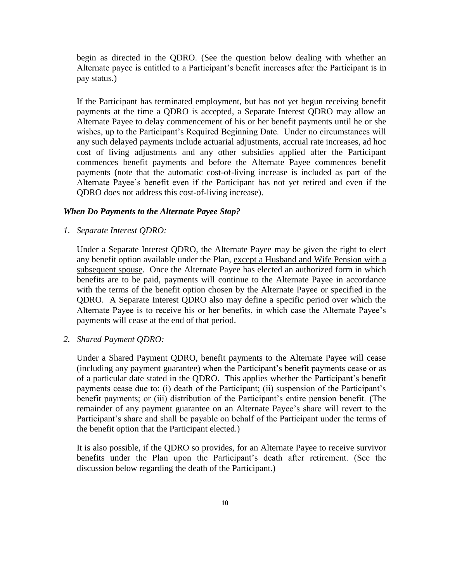begin as directed in the QDRO. (See the question below dealing with whether an Alternate payee is entitled to a Participant's benefit increases after the Participant is in pay status.)

If the Participant has terminated employment, but has not yet begun receiving benefit payments at the time a QDRO is accepted, a Separate Interest QDRO may allow an Alternate Payee to delay commencement of his or her benefit payments until he or she wishes, up to the Participant's Required Beginning Date. Under no circumstances will any such delayed payments include actuarial adjustments, accrual rate increases, ad hoc cost of living adjustments and any other subsidies applied after the Participant commences benefit payments and before the Alternate Payee commences benefit payments (note that the automatic cost-of-living increase is included as part of the Alternate Payee's benefit even if the Participant has not yet retired and even if the QDRO does not address this cost-of-living increase).

#### *When Do Payments to the Alternate Payee Stop?*

*1. Separate Interest QDRO:*

Under a Separate Interest QDRO, the Alternate Payee may be given the right to elect any benefit option available under the Plan, except a Husband and Wife Pension with a subsequent spouse. Once the Alternate Payee has elected an authorized form in which benefits are to be paid, payments will continue to the Alternate Payee in accordance with the terms of the benefit option chosen by the Alternate Payee or specified in the QDRO. A Separate Interest QDRO also may define a specific period over which the Alternate Payee is to receive his or her benefits, in which case the Alternate Payee's payments will cease at the end of that period.

*2. Shared Payment QDRO:*

Under a Shared Payment QDRO, benefit payments to the Alternate Payee will cease (including any payment guarantee) when the Participant's benefit payments cease or as of a particular date stated in the QDRO. This applies whether the Participant's benefit payments cease due to: (i) death of the Participant; (ii) suspension of the Participant's benefit payments; or (iii) distribution of the Participant's entire pension benefit. (The remainder of any payment guarantee on an Alternate Payee's share will revert to the Participant's share and shall be payable on behalf of the Participant under the terms of the benefit option that the Participant elected.)

It is also possible, if the QDRO so provides, for an Alternate Payee to receive survivor benefits under the Plan upon the Participant's death after retirement. (See the discussion below regarding the death of the Participant.)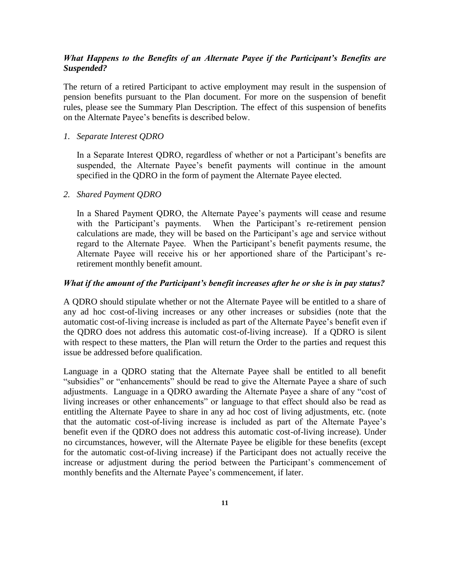# *What Happens to the Benefits of an Alternate Payee if the Participant's Benefits are Suspended?*

The return of a retired Participant to active employment may result in the suspension of pension benefits pursuant to the Plan document. For more on the suspension of benefit rules, please see the Summary Plan Description. The effect of this suspension of benefits on the Alternate Payee's benefits is described below.

#### *1. Separate Interest QDRO*

In a Separate Interest QDRO, regardless of whether or not a Participant's benefits are suspended, the Alternate Payee's benefit payments will continue in the amount specified in the QDRO in the form of payment the Alternate Payee elected.

#### *2. Shared Payment QDRO*

In a Shared Payment QDRO, the Alternate Payee's payments will cease and resume with the Participant's payments. When the Participant's re-retirement pension calculations are made, they will be based on the Participant's age and service without regard to the Alternate Payee. When the Participant's benefit payments resume, the Alternate Payee will receive his or her apportioned share of the Participant's reretirement monthly benefit amount.

#### *What if the amount of the Participant's benefit increases after he or she is in pay status?*

A QDRO should stipulate whether or not the Alternate Payee will be entitled to a share of any ad hoc cost-of-living increases or any other increases or subsidies (note that the automatic cost-of-living increase is included as part of the Alternate Payee's benefit even if the QDRO does not address this automatic cost-of-living increase). If a QDRO is silent with respect to these matters, the Plan will return the Order to the parties and request this issue be addressed before qualification.

Language in a QDRO stating that the Alternate Payee shall be entitled to all benefit "subsidies" or "enhancements" should be read to give the Alternate Payee a share of such adjustments. Language in a QDRO awarding the Alternate Payee a share of any "cost of living increases or other enhancements" or language to that effect should also be read as entitling the Alternate Payee to share in any ad hoc cost of living adjustments, etc. (note that the automatic cost-of-living increase is included as part of the Alternate Payee's benefit even if the QDRO does not address this automatic cost-of-living increase). Under no circumstances, however, will the Alternate Payee be eligible for these benefits (except for the automatic cost-of-living increase) if the Participant does not actually receive the increase or adjustment during the period between the Participant's commencement of monthly benefits and the Alternate Payee's commencement, if later.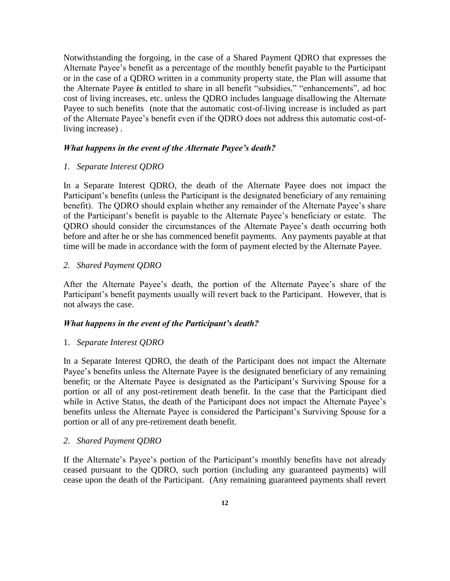Notwithstanding the forgoing, in the case of a Shared Payment QDRO that expresses the Alternate Payee's benefit as a percentage of the monthly benefit payable to the Participant or in the case of a QDRO written in a community property state, the Plan will assume that the Alternate Payee *is* entitled to share in all benefit "subsidies," "enhancements", ad hoc cost of living increases, etc. unless the QDRO includes language disallowing the Alternate Payee to such benefits (note that the automatic cost-of-living increase is included as part of the Alternate Payee's benefit even if the QDRO does not address this automatic cost-ofliving increase) .

#### *What happens in the event of the Alternate Payee's death?*

### *1. Separate Interest QDRO*

In a Separate Interest QDRO, the death of the Alternate Payee does not impact the Participant's benefits (unless the Participant is the designated beneficiary of any remaining benefit). The QDRO should explain whether any remainder of the Alternate Payee's share of the Participant's benefit is payable to the Alternate Payee's beneficiary or estate. The QDRO should consider the circumstances of the Alternate Payee's death occurring both before and after he or she has commenced benefit payments. Any payments payable at that time will be made in accordance with the form of payment elected by the Alternate Payee.

### *2. Shared Payment QDRO*

After the Alternate Payee's death, the portion of the Alternate Payee's share of the Participant's benefit payments usually will revert back to the Participant. However, that is not always the case.

### *What happens in the event of the Participant's death?*

#### 1. *Separate Interest QDRO*

In a Separate Interest QDRO, the death of the Participant does not impact the Alternate Payee's benefits unless the Alternate Payee is the designated beneficiary of any remaining benefit; or the Alternate Payee is designated as the Participant's Surviving Spouse for a portion or all of any post-retirement death benefit. In the case that the Participant died while in Active Status, the death of the Participant does not impact the Alternate Payee's benefits unless the Alternate Payee is considered the Participant's Surviving Spouse for a portion or all of any pre-retirement death benefit.

#### *2. Shared Payment QDRO*

If the Alternate's Payee's portion of the Participant's monthly benefits have not already ceased pursuant to the QDRO, such portion (including any guaranteed payments) will cease upon the death of the Participant. (Any remaining guaranteed payments shall revert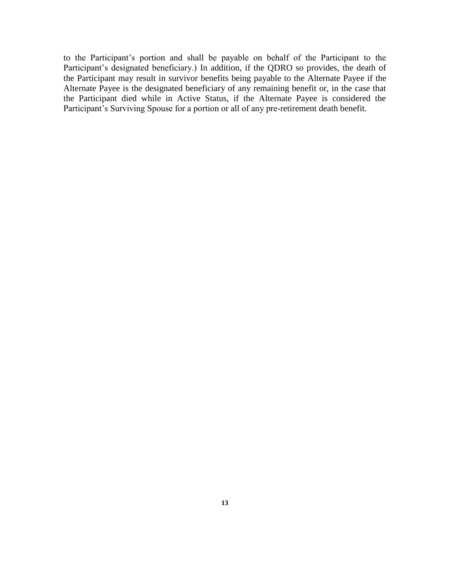to the Participant's portion and shall be payable on behalf of the Participant to the Participant's designated beneficiary.) In addition, if the QDRO so provides, the death of the Participant may result in survivor benefits being payable to the Alternate Payee if the Alternate Payee is the designated beneficiary of any remaining benefit or, in the case that the Participant died while in Active Status, if the Alternate Payee is considered the Participant's Surviving Spouse for a portion or all of any pre-retirement death benefit.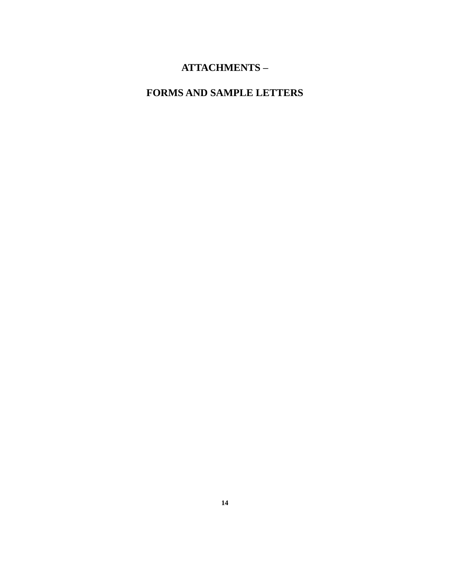# **ATTACHMENTS –**

# **FORMS AND SAMPLE LETTERS**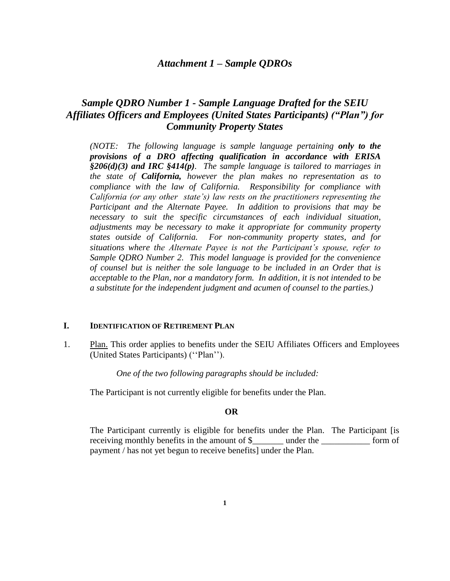# *Attachment 1 – Sample QDROs*

# *Sample QDRO Number 1 - Sample Language Drafted for the SEIU Affiliates Officers and Employees (United States Participants) ("Plan") for Community Property States*

*(NOTE: The following language is sample language pertaining only to the provisions of a DRO affecting qualification in accordance with ERISA §206(d)(3) and IRC §414(p). The sample language is tailored to marriages in the state of California, however the plan makes no representation as to compliance with the law of California. Responsibility for compliance with California (or any other state's) law rests on the practitioners representing the Participant and the Alternate Payee. In addition to provisions that may be necessary to suit the specific circumstances of each individual situation, adjustments may be necessary to make it appropriate for community property states outside of California. For non-community property states, and for situations where the Alternate Payee is not the Participant's spouse, refer to Sample QDRO Number 2. This model language is provided for the convenience of counsel but is neither the sole language to be included in an Order that is acceptable to the Plan, nor a mandatory form. In addition, it is not intended to be a substitute for the independent judgment and acumen of counsel to the parties.)*

#### **I. IDENTIFICATION OF RETIREMENT PLAN**

1. Plan. This order applies to benefits under the SEIU Affiliates Officers and Employees (United States Participants) (''Plan'').

*One of the two following paragraphs should be included:*

The Participant is not currently eligible for benefits under the Plan.

#### **OR**

The Participant currently is eligible for benefits under the Plan. The Participant [is receiving monthly benefits in the amount of \$ \_\_\_\_\_\_ under the form of payment / has not yet begun to receive benefits] under the Plan.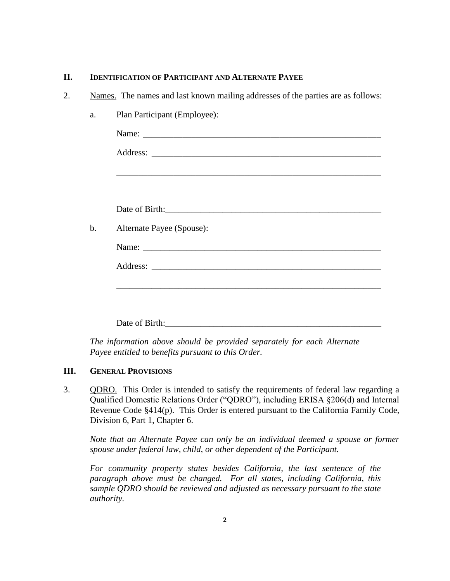# **II. IDENTIFICATION OF PARTICIPANT AND ALTERNATE PAYEE**

2. Names. The names and last known mailing addresses of the parties are as follows:

| Alternate Payee (Spouse): |  |
|---------------------------|--|
|                           |  |
|                           |  |
|                           |  |
|                           |  |
|                           |  |
|                           |  |

*The information above should be provided separately for each Alternate Payee entitled to benefits pursuant to this Order.*

# **III. GENERAL PROVISIONS**

3. QDRO. This Order is intended to satisfy the requirements of federal law regarding a Qualified Domestic Relations Order ("QDRO"), including ERISA §206(d) and Internal Revenue Code §414(p). This Order is entered pursuant to the California Family Code, Division 6, Part 1, Chapter 6.

*Note that an Alternate Payee can only be an individual deemed a spouse or former spouse under federal law, child, or other dependent of the Participant.* 

*For community property states besides California, the last sentence of the paragraph above must be changed. For all states, including California, this sample QDRO should be reviewed and adjusted as necessary pursuant to the state authority.*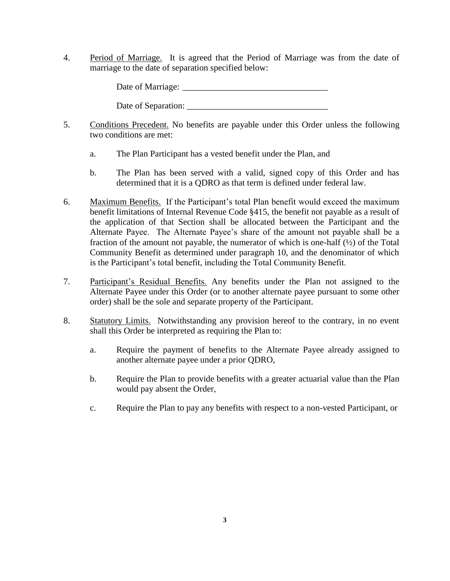4. Period of Marriage. It is agreed that the Period of Marriage was from the date of marriage to the date of separation specified below:

Date of Marriage: \_\_\_\_\_\_\_\_\_\_\_\_\_\_\_\_\_\_\_\_\_\_\_\_\_\_\_\_\_\_\_\_\_

Date of Separation: \_\_\_\_\_\_\_\_\_\_\_\_\_\_\_\_\_\_\_\_\_\_\_\_\_\_\_\_\_\_\_\_

- 5. Conditions Precedent. No benefits are payable under this Order unless the following two conditions are met:
	- a. The Plan Participant has a vested benefit under the Plan, and
	- b. The Plan has been served with a valid, signed copy of this Order and has determined that it is a QDRO as that term is defined under federal law.
- 6. Maximum Benefits. If the Participant's total Plan benefit would exceed the maximum benefit limitations of Internal Revenue Code §415, the benefit not payable as a result of the application of that Section shall be allocated between the Participant and the Alternate Payee. The Alternate Payee's share of the amount not payable shall be a fraction of the amount not payable, the numerator of which is one-half (½) of the Total Community Benefit as determined under paragraph 10, and the denominator of which is the Participant's total benefit, including the Total Community Benefit.
- 7. Participant's Residual Benefits. Any benefits under the Plan not assigned to the Alternate Payee under this Order (or to another alternate payee pursuant to some other order) shall be the sole and separate property of the Participant.
- 8. Statutory Limits. Notwithstanding any provision hereof to the contrary, in no event shall this Order be interpreted as requiring the Plan to:
	- a. Require the payment of benefits to the Alternate Payee already assigned to another alternate payee under a prior QDRO,
	- b. Require the Plan to provide benefits with a greater actuarial value than the Plan would pay absent the Order,
	- c. Require the Plan to pay any benefits with respect to a non-vested Participant, or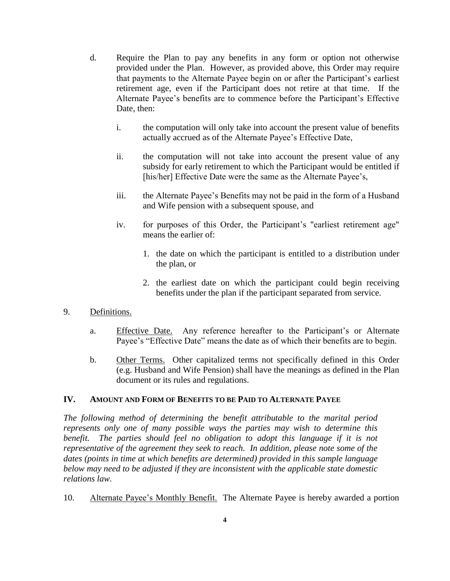- d. Require the Plan to pay any benefits in any form or option not otherwise provided under the Plan. However, as provided above, this Order may require that payments to the Alternate Payee begin on or after the Participant's earliest retirement age, even if the Participant does not retire at that time. If the Alternate Payee's benefits are to commence before the Participant's Effective Date, then:
	- i. the computation will only take into account the present value of benefits actually accrued as of the Alternate Payee's Effective Date,
	- ii. the computation will not take into account the present value of any subsidy for early retirement to which the Participant would be entitled if [his/her] Effective Date were the same as the Alternate Payee's,
	- iii. the Alternate Payee's Benefits may not be paid in the form of a Husband and Wife pension with a subsequent spouse, and
	- iv. for purposes of this Order, the Participant's "earliest retirement age" means the earlier of:
		- 1. the date on which the participant is entitled to a distribution under the plan, or
		- 2. the earliest date on which the participant could begin receiving benefits under the plan if the participant separated from service.
- 9. Definitions.
	- a. Effective Date. Any reference hereafter to the Participant's or Alternate Payee's "Effective Date" means the date as of which their benefits are to begin.
	- b. Other Terms. Other capitalized terms not specifically defined in this Order (e.g. Husband and Wife Pension) shall have the meanings as defined in the Plan document or its rules and regulations.

# **IV. AMOUNT AND FORM OF BENEFITS TO BE PAID TO ALTERNATE PAYEE**

*The following method of determining the benefit attributable to the marital period represents only one of many possible ways the parties may wish to determine this benefit.* The parties should feel no obligation to adopt this language if it is not *representative of the agreement they seek to reach. In addition, please note some of the dates (points in time at which benefits are determined) provided in this sample language below may need to be adjusted if they are inconsistent with the applicable state domestic relations law.*

10. Alternate Payee's Monthly Benefit. The Alternate Payee is hereby awarded a portion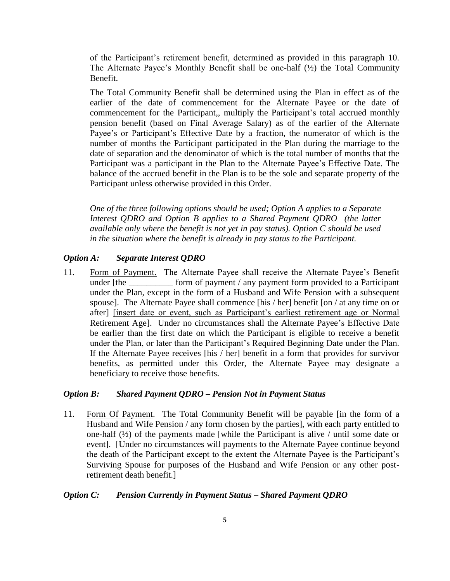of the Participant's retirement benefit, determined as provided in this paragraph 10. The Alternate Payee's Monthly Benefit shall be one-half (½) the Total Community Benefit.

The Total Community Benefit shall be determined using the Plan in effect as of the earlier of the date of commencement for the Alternate Payee or the date of commencement for the Participant,, multiply the Participant's total accrued monthly pension benefit (based on Final Average Salary) as of the earlier of the Alternate Payee's or Participant's Effective Date by a fraction, the numerator of which is the number of months the Participant participated in the Plan during the marriage to the date of separation and the denominator of which is the total number of months that the Participant was a participant in the Plan to the Alternate Payee's Effective Date. The balance of the accrued benefit in the Plan is to be the sole and separate property of the Participant unless otherwise provided in this Order.

*One of the three following options should be used; Option A applies to a Separate Interest QDRO and Option B applies to a Shared Payment QDRO (the latter available only where the benefit is not yet in pay status). Option C should be used in the situation where the benefit is already in pay status to the Participant.* 

#### *Option A: Separate Interest QDRO*

11. Form of Payment. The Alternate Payee shall receive the Alternate Payee's Benefit under [the \_\_\_\_\_\_\_\_\_\_\_ form of payment / any payment form provided to a Participant under the Plan, except in the form of a Husband and Wife Pension with a subsequent spouse]. The Alternate Payee shall commence [his / her] benefit [on / at any time on or after] [insert date or event, such as Participant's earliest retirement age or Normal Retirement Age]. Under no circumstances shall the Alternate Payee's Effective Date be earlier than the first date on which the Participant is eligible to receive a benefit under the Plan, or later than the Participant's Required Beginning Date under the Plan. If the Alternate Payee receives [his / her] benefit in a form that provides for survivor benefits, as permitted under this Order, the Alternate Payee may designate a beneficiary to receive those benefits.

#### *Option B: Shared Payment QDRO – Pension Not in Payment Status*

11. Form Of Payment. The Total Community Benefit will be payable [in the form of a Husband and Wife Pension / any form chosen by the parties], with each party entitled to one-half (½) of the payments made [while the Participant is alive / until some date or event]. [Under no circumstances will payments to the Alternate Payee continue beyond the death of the Participant except to the extent the Alternate Payee is the Participant's Surviving Spouse for purposes of the Husband and Wife Pension or any other postretirement death benefit.]

#### *Option C: Pension Currently in Payment Status – Shared Payment QDRO*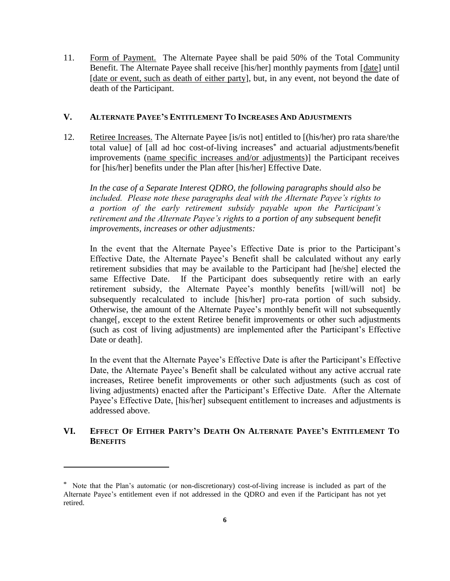11. Form of Payment. The Alternate Payee shall be paid 50% of the Total Community Benefit. The Alternate Payee shall receive [his/her] monthly payments from [date] until [date or event, such as death of either party], but, in any event, not beyond the date of death of the Participant.

## **V. ALTERNATE PAYEE'S ENTITLEMENT TO INCREASES AND ADJUSTMENTS**

12. Retiree Increases. The Alternate Payee [is/is not] entitled to [(his/her) pro rata share/the total value] of [all ad hoc cost-of-living increases\* and actuarial adjustments/benefit improvements (name specific increases and/or adjustments)] the Participant receives for [his/her] benefits under the Plan after [his/her] Effective Date.

*In the case of a Separate Interest QDRO, the following paragraphs should also be included. Please note these paragraphs deal with the Alternate Payee's rights to a portion of the early retirement subsidy payable upon the Participant's retirement and the Alternate Payee's rights to a portion of any subsequent benefit improvements, increases or other adjustments:*

In the event that the Alternate Payee's Effective Date is prior to the Participant's Effective Date, the Alternate Payee's Benefit shall be calculated without any early retirement subsidies that may be available to the Participant had [he/she] elected the same Effective Date. If the Participant does subsequently retire with an early retirement subsidy, the Alternate Payee's monthly benefits [will/will not] be subsequently recalculated to include [his/her] pro-rata portion of such subsidy. Otherwise, the amount of the Alternate Payee's monthly benefit will not subsequently change[, except to the extent Retiree benefit improvements or other such adjustments (such as cost of living adjustments) are implemented after the Participant's Effective Date or death].

In the event that the Alternate Payee's Effective Date is after the Participant's Effective Date, the Alternate Payee's Benefit shall be calculated without any active accrual rate increases, Retiree benefit improvements or other such adjustments (such as cost of living adjustments) enacted after the Participant's Effective Date. After the Alternate Payee's Effective Date, [his/her] subsequent entitlement to increases and adjustments is addressed above.

# VI. EFFECT OF EITHER PARTY'S DEATH ON ALTERNATE PAYEE'S ENTITLEMENT TO **BENEFITS**

 $\overline{a}$ 

Note that the Plan's automatic (or non-discretionary) cost-of-living increase is included as part of the Alternate Payee's entitlement even if not addressed in the QDRO and even if the Participant has not yet retired.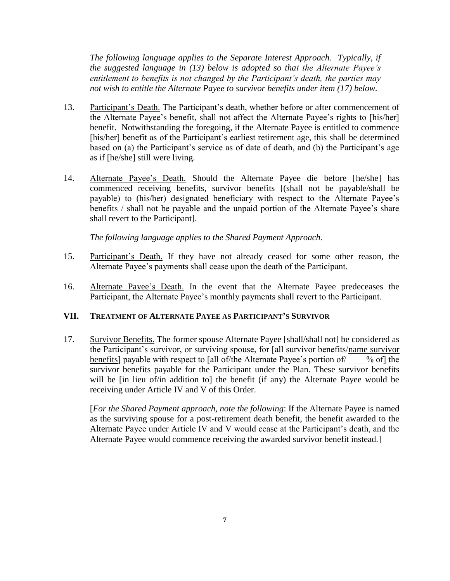*The following language applies to the Separate Interest Approach. Typically, if the suggested language in (13) below is adopted so that the Alternate Payee's entitlement to benefits is not changed by the Participant's death, the parties may not wish to entitle the Alternate Payee to survivor benefits under item (17) below.*

- 13. Participant's Death. The Participant's death, whether before or after commencement of the Alternate Payee's benefit, shall not affect the Alternate Payee's rights to [his/her] benefit. Notwithstanding the foregoing, if the Alternate Payee is entitled to commence [his/her] benefit as of the Participant's earliest retirement age, this shall be determined based on (a) the Participant's service as of date of death, and (b) the Participant's age as if [he/she] still were living.
- 14. Alternate Payee's Death. Should the Alternate Payee die before [he/she] has commenced receiving benefits, survivor benefits [(shall not be payable/shall be payable) to (his/her) designated beneficiary with respect to the Alternate Payee's benefits / shall not be payable and the unpaid portion of the Alternate Payee's share shall revert to the Participant].

*The following language applies to the Shared Payment Approach.*

- 15. Participant's Death. If they have not already ceased for some other reason, the Alternate Payee's payments shall cease upon the death of the Participant.
- 16. Alternate Payee's Death. In the event that the Alternate Payee predeceases the Participant, the Alternate Payee's monthly payments shall revert to the Participant.

# **VII. TREATMENT OF ALTERNATE PAYEE AS PARTICIPANT'S SURVIVOR**

17. Survivor Benefits. The former spouse Alternate Payee [shall/shall not] be considered as the Participant's survivor, or surviving spouse, for [all survivor benefits/name survivor benefits] payable with respect to [all of/the Alternate Payee's portion of  $\%$  of] the survivor benefits payable for the Participant under the Plan. These survivor benefits will be [in lieu of/in addition to] the benefit (if any) the Alternate Payee would be receiving under Article IV and V of this Order.

[*For the Shared Payment approach, note the following*: If the Alternate Payee is named as the surviving spouse for a post-retirement death benefit, the benefit awarded to the Alternate Payee under Article IV and V would cease at the Participant's death, and the Alternate Payee would commence receiving the awarded survivor benefit instead.]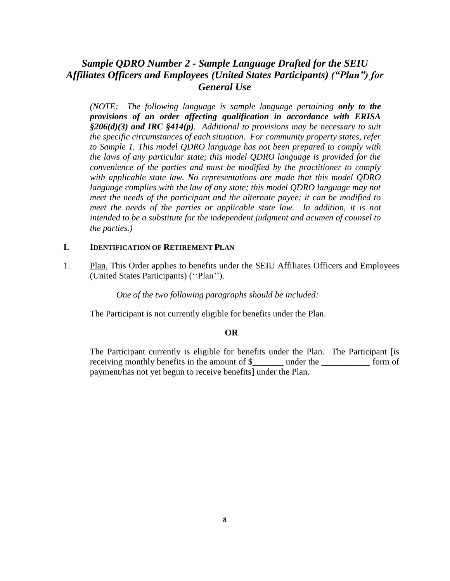# *Sample QDRO Number 2 - Sample Language Drafted for the SEIU Affiliates Officers and Employees (United States Participants) ("Plan") for General Use*

*(NOTE: The following language is sample language pertaining only to the provisions of an order affecting qualification in accordance with ERISA §206(d)(3) and IRC §414(p). Additional to provisions may be necessary to suit the specific circumstances of each situation. For community property states, refer to Sample 1. This model QDRO language has not been prepared to comply with the laws of any particular state; this model QDRO language is provided for the convenience of the parties and must be modified by the practitioner to comply with applicable state law. No representations are made that this model QDRO language complies with the law of any state; this model ODRO language may not meet the needs of the participant and the alternate payee; it can be modified to meet the needs of the parties or applicable state law. In addition, it is not intended to be a substitute for the independent judgment and acumen of counsel to the parties.)*

# **I. IDENTIFICATION OF RETIREMENT PLAN**

1. Plan. This Order applies to benefits under the SEIU Affiliates Officers and Employees (United States Participants) (''Plan'').

*One of the two following paragraphs should be included:*

The Participant is not currently eligible for benefits under the Plan.

#### **OR**

The Participant currently is eligible for benefits under the Plan. The Participant [is receiving monthly benefits in the amount of \$\_\_\_\_\_\_\_ under the \_\_\_\_\_\_\_\_\_\_\_ form of payment/has not yet begun to receive benefits] under the Plan.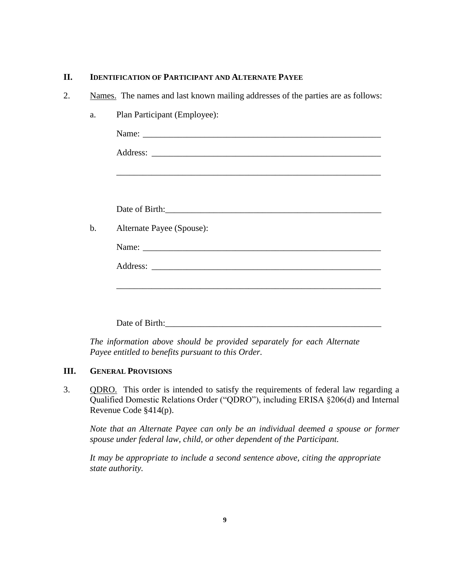# **II. IDENTIFICATION OF PARTICIPANT AND ALTERNATE PAYEE**

2. Names. The names and last known mailing addresses of the parties are as follows:

|                           | <u> 1989 - Jan James James James James James James James James James James James James James James James James J</u> |  |  |
|---------------------------|----------------------------------------------------------------------------------------------------------------------|--|--|
|                           | Date of Birth:                                                                                                       |  |  |
| Alternate Payee (Spouse): |                                                                                                                      |  |  |
|                           |                                                                                                                      |  |  |
|                           |                                                                                                                      |  |  |
|                           |                                                                                                                      |  |  |
|                           |                                                                                                                      |  |  |

*The information above should be provided separately for each Alternate Payee entitled to benefits pursuant to this Order.*

# **III. GENERAL PROVISIONS**

3. QDRO. This order is intended to satisfy the requirements of federal law regarding a Qualified Domestic Relations Order ("QDRO"), including ERISA §206(d) and Internal Revenue Code §414(p).

*Note that an Alternate Payee can only be an individual deemed a spouse or former spouse under federal law, child, or other dependent of the Participant.* 

*It may be appropriate to include a second sentence above, citing the appropriate state authority.*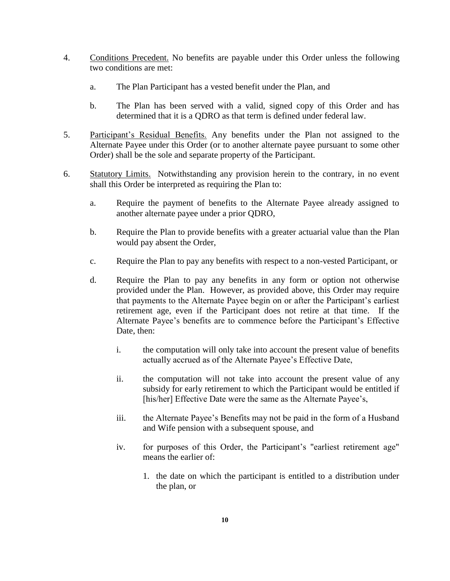- 4. Conditions Precedent. No benefits are payable under this Order unless the following two conditions are met:
	- a. The Plan Participant has a vested benefit under the Plan, and
	- b. The Plan has been served with a valid, signed copy of this Order and has determined that it is a QDRO as that term is defined under federal law.
- 5. Participant's Residual Benefits. Any benefits under the Plan not assigned to the Alternate Payee under this Order (or to another alternate payee pursuant to some other Order) shall be the sole and separate property of the Participant.
- 6. Statutory Limits. Notwithstanding any provision herein to the contrary, in no event shall this Order be interpreted as requiring the Plan to:
	- a. Require the payment of benefits to the Alternate Payee already assigned to another alternate payee under a prior QDRO,
	- b. Require the Plan to provide benefits with a greater actuarial value than the Plan would pay absent the Order,
	- c. Require the Plan to pay any benefits with respect to a non-vested Participant, or
	- d. Require the Plan to pay any benefits in any form or option not otherwise provided under the Plan. However, as provided above, this Order may require that payments to the Alternate Payee begin on or after the Participant's earliest retirement age, even if the Participant does not retire at that time. If the Alternate Payee's benefits are to commence before the Participant's Effective Date, then:
		- i. the computation will only take into account the present value of benefits actually accrued as of the Alternate Payee's Effective Date,
		- ii. the computation will not take into account the present value of any subsidy for early retirement to which the Participant would be entitled if [his/her] Effective Date were the same as the Alternate Payee's,
		- iii. the Alternate Payee's Benefits may not be paid in the form of a Husband and Wife pension with a subsequent spouse, and
		- iv. for purposes of this Order, the Participant's "earliest retirement age" means the earlier of:
			- 1. the date on which the participant is entitled to a distribution under the plan, or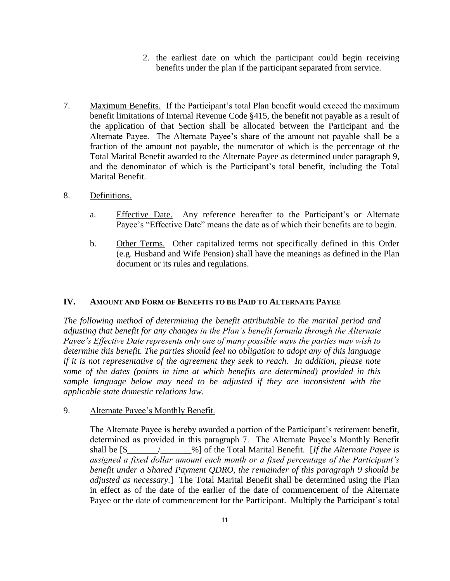- 2. the earliest date on which the participant could begin receiving benefits under the plan if the participant separated from service.
- 7. Maximum Benefits. If the Participant's total Plan benefit would exceed the maximum benefit limitations of Internal Revenue Code §415, the benefit not payable as a result of the application of that Section shall be allocated between the Participant and the Alternate Payee. The Alternate Payee's share of the amount not payable shall be a fraction of the amount not payable, the numerator of which is the percentage of the Total Marital Benefit awarded to the Alternate Payee as determined under paragraph 9, and the denominator of which is the Participant's total benefit, including the Total Marital Benefit.
- 8. Definitions.
	- a. Effective Date. Any reference hereafter to the Participant's or Alternate Payee's "Effective Date" means the date as of which their benefits are to begin.
	- b. Other Terms. Other capitalized terms not specifically defined in this Order (e.g. Husband and Wife Pension) shall have the meanings as defined in the Plan document or its rules and regulations.

#### **IV. AMOUNT AND FORM OF BENEFITS TO BE PAID TO ALTERNATE PAYEE**

*The following method of determining the benefit attributable to the marital period and adjusting that benefit for any changes in the Plan's benefit formula through the Alternate Payee's Effective Date represents only one of many possible ways the parties may wish to determine this benefit. The parties should feel no obligation to adopt any of this language if it is not representative of the agreement they seek to reach. In addition, please note some of the dates (points in time at which benefits are determined) provided in this sample language below may need to be adjusted if they are inconsistent with the applicable state domestic relations law.* 

#### 9. Alternate Payee's Monthly Benefit.

The Alternate Payee is hereby awarded a portion of the Participant's retirement benefit, determined as provided in this paragraph 7. The Alternate Payee's Monthly Benefit shall be [\$\_\_\_\_\_\_\_/\_\_\_\_\_\_\_%] of the Total Marital Benefit. [*If the Alternate Payee is assigned a fixed dollar amount each month or a fixed percentage of the Participant's benefit under a Shared Payment QDRO, the remainder of this paragraph 9 should be adjusted as necessary.*]The Total Marital Benefit shall be determined using the Plan in effect as of the date of the earlier of the date of commencement of the Alternate Payee or the date of commencement for the Participant. Multiply the Participant's total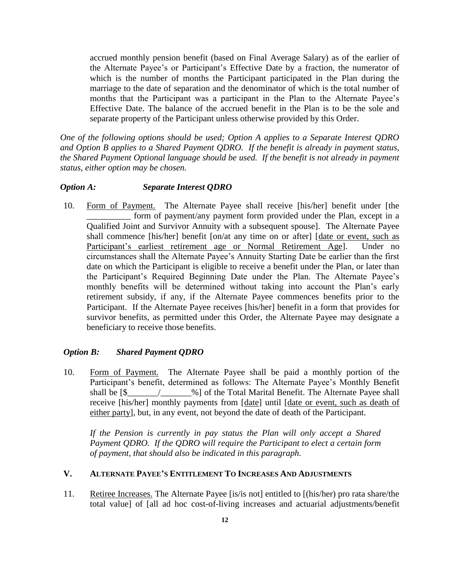accrued monthly pension benefit (based on Final Average Salary) as of the earlier of the Alternate Payee's or Participant's Effective Date by a fraction, the numerator of which is the number of months the Participant participated in the Plan during the marriage to the date of separation and the denominator of which is the total number of months that the Participant was a participant in the Plan to the Alternate Payee's Effective Date. The balance of the accrued benefit in the Plan is to be the sole and separate property of the Participant unless otherwise provided by this Order.

*One of the following options should be used; Option A applies to a Separate Interest QDRO and Option B applies to a Shared Payment QDRO. If the benefit is already in payment status, the Shared Payment Optional language should be used. If the benefit is not already in payment status, either option may be chosen.* 

#### *Option A: Separate Interest QDRO*

10. Form of Payment. The Alternate Payee shall receive [his/her] benefit under [the \_\_\_\_\_\_\_\_\_\_ form of payment/any payment form provided under the Plan, except in a Qualified Joint and Survivor Annuity with a subsequent spouse]. The Alternate Payee shall commence [his/her] benefit [on/at any time on or after] [date or event, such as Participant's earliest retirement age or Normal Retirement Age]. Under no circumstances shall the Alternate Payee's Annuity Starting Date be earlier than the first date on which the Participant is eligible to receive a benefit under the Plan, or later than the Participant's Required Beginning Date under the Plan. The Alternate Payee's monthly benefits will be determined without taking into account the Plan's early retirement subsidy, if any, if the Alternate Payee commences benefits prior to the Participant. If the Alternate Payee receives [his/her] benefit in a form that provides for survivor benefits, as permitted under this Order, the Alternate Payee may designate a beneficiary to receive those benefits.

#### *Option B: Shared Payment QDRO*

10. Form of Payment. The Alternate Payee shall be paid a monthly portion of the Participant's benefit, determined as follows: The Alternate Payee's Monthly Benefit shall be [\$  $\frac{1}{2}$  /  $\frac{1}{2}$  of the Total Marital Benefit. The Alternate Payee shall receive [his/her] monthly payments from [date] until [date or event, such as death of either party], but, in any event, not beyond the date of death of the Participant.

*If the Pension is currently in pay status the Plan will only accept a Shared Payment QDRO. If the QDRO will require the Participant to elect a certain form of payment, that should also be indicated in this paragraph.* 

# **V. ALTERNATE PAYEE'S ENTITLEMENT TO INCREASES AND ADJUSTMENTS**

11. Retiree Increases. The Alternate Payee [is/is not] entitled to [(his/her) pro rata share/the total value] of [all ad hoc cost-of-living increases and actuarial adjustments/benefit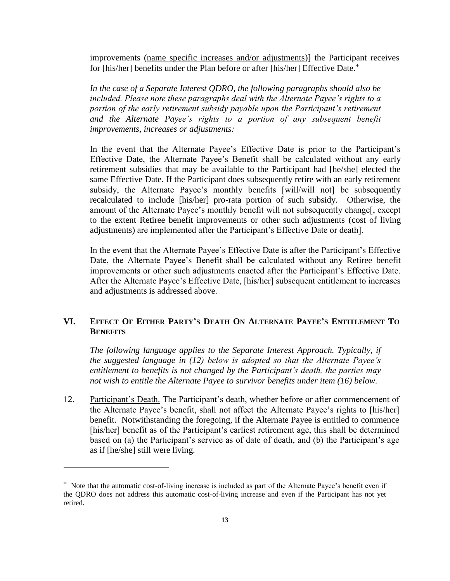improvements (name specific increases and/or adjustments)] the Participant receives for [his/her] benefits under the Plan before or after [his/her] Effective Date.\*

*In the case of a Separate Interest QDRO, the following paragraphs should also be included. Please note these paragraphs deal with the Alternate Payee's rights to a portion of the early retirement subsidy payable upon the Participant's retirement and the Alternate Payee's rights to a portion of any subsequent benefit improvements, increases or adjustments:*

In the event that the Alternate Payee's Effective Date is prior to the Participant's Effective Date, the Alternate Payee's Benefit shall be calculated without any early retirement subsidies that may be available to the Participant had [he/she] elected the same Effective Date. If the Participant does subsequently retire with an early retirement subsidy, the Alternate Payee's monthly benefits [will/will not] be subsequently recalculated to include [his/her] pro-rata portion of such subsidy. Otherwise, the amount of the Alternate Payee's monthly benefit will not subsequently change[, except to the extent Retiree benefit improvements or other such adjustments (cost of living adjustments) are implemented after the Participant's Effective Date or death].

In the event that the Alternate Payee's Effective Date is after the Participant's Effective Date, the Alternate Payee's Benefit shall be calculated without any Retiree benefit improvements or other such adjustments enacted after the Participant's Effective Date. After the Alternate Payee's Effective Date, [his/her] subsequent entitlement to increases and adjustments is addressed above.

# VI. EFFECT OF EITHER PARTY'S DEATH ON ALTERNATE PAYEE'S ENTITLEMENT TO **BENEFITS**

*The following language applies to the Separate Interest Approach. Typically, if the suggested language in (12) below is adopted so that the Alternate Payee's entitlement to benefits is not changed by the Participant's death, the parties may not wish to entitle the Alternate Payee to survivor benefits under item (16) below.*

12. Participant's Death. The Participant's death, whether before or after commencement of the Alternate Payee's benefit, shall not affect the Alternate Payee's rights to [his/her] benefit. Notwithstanding the foregoing, if the Alternate Payee is entitled to commence [his/her] benefit as of the Participant's earliest retirement age, this shall be determined based on (a) the Participant's service as of date of death, and (b) the Participant's age as if [he/she] still were living.

 $\overline{a}$ 

<sup>\*</sup> Note that the automatic cost-of-living increase is included as part of the Alternate Payee's benefit even if the QDRO does not address this automatic cost-of-living increase and even if the Participant has not yet retired.